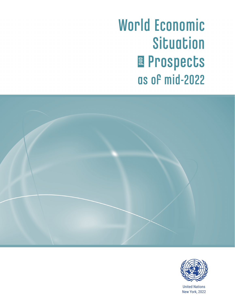World Economic **Situation** Prospects **a** Prospects<br>as of mid-2022





United Nations New York, 2022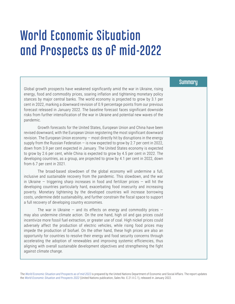# World Economic Situation and Prospects as of mid-2022

Global growth prospects have weakened significantly amid the war in Ukraine, rising energy, food and commodity prices, soaring inflation and tightening monetary policy stances by major central banks. The world economy is projected to grow by 3.1 per cent in 2022, marking a downward revision of 0.9 percentage points from our previous forecast released in January 2022. The baseline forecast faces significant downside risks from further intensification of the war in Ukraine and potential new waves of the pandemic.

Growth forecasts for the United States, European Union and China have been revised downward, with the European Union registering the most significant downward revision. The European Union economy ― most directly hit by disruptions in the energy supply from the Russian Federation  $-$  is now expected to grow by 2.7 per cent in 2022, down from 3.9 per cent expected in January. The United States economy is expected to grow by 2.6 per cent, while China is expected to grow by 4.5 per cent in 2022. The developing countries, as a group, are projected to grow by 4.1 per cent in 2022, down from 6.7 per cent in 2021.

The broad-based slowdown of the global economy will undermine a full, inclusive and sustainable recovery from the pandemic. This slowdown, and the war in Ukraine – triggering sharp increases in food and fertilizer prices – will hit the developing countries particularly hard, exacerbating food insecurity and increasing poverty. Monetary tightening by the developed countries will increase borrowing costs, undermine debt sustainability, and further constrain the fiscal space to support a full recovery of developing country economies.

The war in Ukraine – and its effects on energy and commodity prices – may also undermine climate action. On the one hand, high oil and gas prices could incentivize more fossil fuel extraction, or greater use of coal. High nickel prices could adversely affect the production of electric vehicles, while rising food prices may impede the production of biofuel. On the other hand, these high prices are also an opportunity for countries to resolve their energy and food security concerns through accelerating the adoption of renewables and improving systemic efficiencies, thus aligning with overall sustainable development objectives and strengthening the fight against climate change.

The *[World Economic Situation and Prospects](https://www.bit.ly/wespmidyear) as of mid-2022* is prepared by the United Nations Department of Economic and Social Affairs. The report updates the *[World Economic Situation and Prospects 2022](https://www.un.org/development/desa/dpad/publication/world-economic-situation-and-prospects-2022/)* (United Nations publication, Sales No. E.21.II.C.1), released in January 2022.

#### **Summary**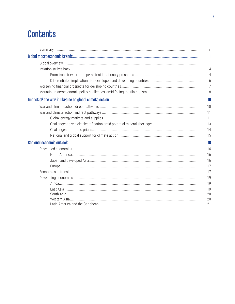## **Contents**

| Ĭİ |
|----|
|    |
|    |
| 4  |
| 4  |
| 6  |
| 7  |
| 8  |
| 10 |
| 10 |
| 11 |
| 11 |
| 13 |
| 14 |
| 15 |
| 16 |
| 16 |
| 16 |
| 16 |
| 17 |
| 17 |
| 19 |
| 19 |
| 19 |
| 20 |
| 20 |
| 21 |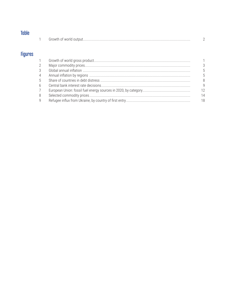| __ | $\sim$ |
|----|--------|

|  | Growth<br><b>WOFIC</b><br>$\Omega$<br>DH<br>. |  |  |
|--|-----------------------------------------------|--|--|
|--|-----------------------------------------------|--|--|

## **Figures**

| $\mathbf{1}$   |    |
|----------------|----|
| 2              | 3  |
| 3              |    |
| 4              | 5  |
| 5              | 8  |
| 6              |    |
| 7 <sup>7</sup> | 12 |
| 8              | 14 |
| 9              | 18 |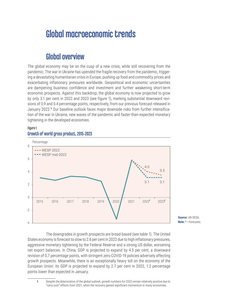## Global macroeconomic trends

## Global overview

The global economy may be on the cusp of a new crisis, while still recovering from the pandemic. The war in Ukraine has upended the fragile recovery from the pandemic, triggering a devastating humanitarian crisis in Europe, pushing up food and commodity prices and exacerbating inflationary pressures worldwide. Geopolitical and economic uncertainties are dampening business confidence and investment and further weakening short-term economic prospects. Against this backdrop, the global economy is now projected to grow by only 3.1 per cent in 2022 and 2023 (see figure 1), marking substantial downward revisions of 0.9 and 0.4 percentage points, respectively, from our previous forecast released in January 2022.**1** Our baseline outlook faces major downside risks from further intensification of the war in Ukraine, new waves of the pandemic and faster-than-expected monetary tightening in the developed economies.

#### Figure 1 Growth of world gross product, 2015–2023

 Percentage 3.1 3.1 4.0 **- WESP 2022 ---** WESP mid-2022 3.5 -4 -2 0 2 4 6 8 2015 2016 2017 2018 2019 2020 2021 2022**<sup>f</sup>** 2023**<sup>f</sup>**

**Source:** UN DESA. **Note:** f = forecasts.

The downgrades in growth prospects are broad-based (see table 1). The United States economy is forecast to slow to 2.6 per cent in 2022 due to high inflationary pressures, aggressive monetary tightening by the Federal Reserve and a strong US dollar, worsening net export balances. In China, GDP is projected to expand by 4.5 per cent, a downward revision of 0.7 percentage points, with stringent zero COVID-19 policies adversely affecting growth prospects. Meanwhile, there is an exceptionally heavy toll on the economy of the European Union: its GDP is projected to expand by 2.7 per cent in 2022, 1.2 percentage points lower than expected in January.

**<sup>1</sup>** Despite the deterioration of the global outlook, growth numbers for 2022 remain relatively positive due to "carry-over" effects from 2021, when the recovery gained significant momentum in many economies.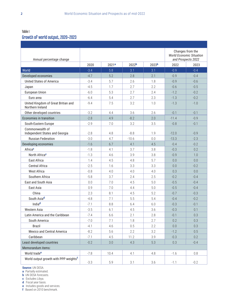## Table I

## Growth of world output, 2020–2023

| Annual percentage change                                |        |                   |                   |                   | Changes from the<br><b>World Economic Situation</b><br>and Prospects 2022 |        |  |
|---------------------------------------------------------|--------|-------------------|-------------------|-------------------|---------------------------------------------------------------------------|--------|--|
|                                                         | 2020   | 2021 <sup>a</sup> | 2022 <sup>b</sup> | 2023 <sup>b</sup> | 2022                                                                      | 2023   |  |
| World                                                   | $-3.4$ | 5.8               | 3.1               | 3.1               | $-0.9$                                                                    | $-0.4$ |  |
| Developed economies                                     | $-4.7$ | 5.2               | 2.8               | 2.1               | $-0.9$                                                                    | $-0.4$ |  |
| <b>United States of America</b>                         | $-3.4$ | 5.7               | 2.6               | 1.8               | $-0.9$                                                                    | $-0.6$ |  |
| Japan                                                   | $-4.5$ | 1.7               | 2.7               | 2.2               | $-0.6$                                                                    | $-0.5$ |  |
| European Union                                          | $-6.0$ | 5.3               | 2.7               | 2.4               | $-1.2$                                                                    | $-0.2$ |  |
| Euro area                                               | $-6.4$ | 5.4               | 2.7               | 2.3               | $-1.3$                                                                    | $-0.2$ |  |
| United Kingdom of Great Britian and<br>Northern Ireland | $-9.4$ | 7.5               | 3.2               | 1.0               | $-1.3$                                                                    | $-1.0$ |  |
| Other developed countries                               | $-3.2$ | 4.4               | 3.6               | 2.6               | $-0.1$                                                                    | $-0.1$ |  |
| <b>Economies in transition</b>                          | $-2.8$ | 4.9               | $-8.2$            | 2.0               | $-11.4$                                                                   | $-0.9$ |  |
| South-Eastern Europe                                    | $-2.9$ | 7.0               | 3.2               | 3.5               | $-0.8$                                                                    | $-0.1$ |  |
| Commonwealth of<br>Independent States and Georgia       | $-2.8$ | 4.8               | $-8.8$            | 1.9               | $-12.0$                                                                   | $-0.9$ |  |
| <b>Russian Federation</b>                               | $-3.0$ | 4.7               | $-10.6$           | 0.0               | $-13.3$                                                                   | $-2.3$ |  |
| Developing economies                                    | $-1.6$ | 6.7               | 4.1               | 4.5               | $-0.4$                                                                    | $-0.2$ |  |
| Africac                                                 | $-1.8$ | 4.1               | 3.7               | 3.8               | $-0.3$                                                                    | 0.2    |  |
| North Africa <sup>c</sup>                               | $-1.3$ | 4.6               | 3.9               | 3.8               | $-0.9$                                                                    | 1.0    |  |
| East Africa                                             | 1.4    | 4.5               | 4.8               | 5.7               | 0.0                                                                       | 0.0    |  |
| <b>Central Africa</b>                                   | $-2.5$ | 1.6               | 3.3               | 3.3               | 0.0                                                                       | $-0.2$ |  |
| <b>West Africa</b>                                      | $-0.8$ | 4.0               | 4.0               | 4.0               | 0.3                                                                       | 0.0    |  |
| Southern Africa                                         | $-5.8$ | 3.7               | 2.4               | 2.5               | $-0.2$                                                                    | $-0.4$ |  |
| East and South Asia                                     | 0.0    | 7.0               | 4.5               | 5.0               | $-0.5$                                                                    | $-0.4$ |  |
| East Asia                                               | 0.9    | 7.0               | 4.4               | 5.0               | $-0.5$                                                                    | $-0.4$ |  |
| China                                                   | 2.3    | 8.1               | 4.5               | 5.2               | $-0.7$                                                                    | $-0.3$ |  |
| South Asiad                                             | $-4.8$ | 7.1               | 5.5               | 5.4               | $-0.4$                                                                    | $-0.2$ |  |
| Indiad                                                  | $-7.1$ | 8.8               | 6.4               | 6.0               | $-0.3$                                                                    | $-0.1$ |  |
| Western Asia                                            | $-3.5$ | 6.1               | 4.5               | 3.6               | $-0.3$                                                                    | 0.1    |  |
| Latin America and the Caribbean                         | $-7.4$ | 6.6               | 2.1               | $2.8\,$           | $-0.1$                                                                    | 0.3    |  |
| South America                                           | $-7.0$ | 7.1               | 1.8               | 2.7               | 0.2                                                                       | 0.3    |  |
| Brazil                                                  | $-4.1$ | 4.6               | 0.5               | 2.2               | $0.0\,$                                                                   | 0.3    |  |
| Mexico and Central America                              | $-8.2$ | 5.6               | 2.2               | 3.2               | $-1.2$                                                                    | 0.5    |  |
| Caribbean                                               | $-7.1$ | 4.5               | 11.2              | 3.9               | $-0.3$                                                                    | 0.2    |  |
| Least developed countries                               | $-0.2$ | $3.0\,$           | 4.3               | 5.3               | 0.3                                                                       | $-0.4$ |  |
| Memorandum items:                                       |        |                   |                   |                   |                                                                           |        |  |
| World trade <sup>e</sup>                                | $-7.8$ | 10.4              | 4.1               | 4.8               | $-1.6$                                                                    | 0.8    |  |
| World output growth with PPP weights <sup>f</sup>       | $-3.3$ | 5.9               | 3.1               | 3.6               | $-1.1$                                                                    | $-0.2$ |  |

**Source:** UN DESA.

**a** Partially estimated.

**b** UN DESA forecasts.

**c** Excludes Libya.

**d** Fiscal year basis.

**e** Includes goods and services.

**f** Based on 2010 benchmark.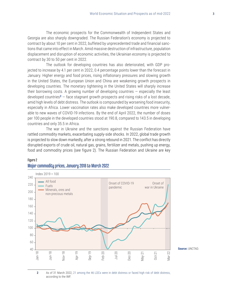The economic prospects for the Commonwealth of Independent States and Georgia are also sharply downgraded. The Russian Federation's economy is projected to contract by about 10 per cent in 2022, buffeted by unprecedented trade and financial sanctions that came into effect in March. Amid massive destruction of infrastructure, population displacement and disruption of economic activities, the Ukrainian economy is projected to contract by 30 to 50 per cent in 2022.

The outlook for developing countries has also deteriorated, with GDP projected to increase by 4.1 per cent in 2022, 0.4 percentage points lower than the forecast in January. Higher energy and food prices, rising inflationary pressures and slowing growth in the United States, the European Union and China are weakening growth prospects in developing countries. The monetary tightening in the United States will sharply increase their borrowing costs. A growing number of developing countries  $-$  especially the least developed countries**<sup>2</sup>** — face stagnant growth prospects and rising risks of a lost decade, amid high levels of debt distress. The outlook is compounded by worsening food insecurity, especially in Africa. Lower vaccination rates also make developed countries more vulnerable to new waves of COVID-19 infections. By the end of April 2022, the number of doses per 100 people in the developed countries stood at 190.8, compared to 143.5 in developing countries and only 35.5 in Africa.

The war in Ukraine and the sanctions against the Russian Federation have rattled commodity markets, exacerbating supply-side shocks. In 2022, global trade growth is projected to slow down markedly, after a strong rebound in 2021. The conflict has directly disrupted exports of crude oil, natural gas, grains, fertilizer and metals, pushing up energy, food and commodity prices (see figure 2). The Russian Federation and Ukraine are key



#### Figure 2 Major commodity prices, January 2018 to March 2022

**Source:** UNCTAD.

**2** As of 31 March 2022, [21 among the 46 LDCs were in debt distress or faced high risk of debt distress](https://www.imf.org/external/Pubs/ft/dsa/DSAlist.pdf), according to the IMF.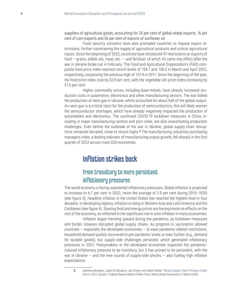suppliers of agricultural goods, accounting for 25 per cent of global wheat exports, 16 per cent of corn exports and 56 per cent of exports of sunflower oil.

Food security concerns have also prompted countries to impose export restrictions, further constraining the supply of agricultural products and critical agricultural inputs. Since the beginning of 2022, countries have introduced 47 restrictions on exports of food — grains, edible oils, meat, etc. — and fertilizer, of which 43 came into effect after the war in Ukraine broke out in February. The Food and Agricultural Organization's (FAO) composite food price index reached record levels of 159.7 and 158.5 in March and April 2022, respectively, surpassing the previous high of 131.9 in 2011. Since the beginning of the year, the food price index rose by 22.9 per cent, with the vegetable oils price index increasing by 51.6 per cent.

Higher commodity prices, including base metals, have sharply increased production costs in automotive, electronics and other manufacturing sectors. The war halted the production of neon gas in Ukraine, which accounted for about half of the global output. As neon gas is a critical input for the production of semiconductors, this will likely worsen the semiconductor shortages, which have already negatively impacted the production of automobiles and electronics. The continued COVID-19 lockdown measures in China, including in major manufacturing centres and port cities, are also exacerbating production challenges. Even before the outbreak of the war in Ukraine, global supply-chain disruptions remained elevated, close to record highs.**<sup>3</sup>** The manufacturing industries purchasing managers index, a leading indicator of manufacturing output growth, fell sharply in the first quarter of 2022 across most G20 economies.

## Inflation strikes back

## From transitory to more persistent inflationary pressures

The world economy is facing substantial inflationary pressures. Global inflation is projected to increase to 6.7 per cent in 2022, twice the average of 2.9 per cent during 2010—2020 (see figure 3). Headline inflation in the United States has reached the highest level in four decades. In developing regions, inflation is rising in Western Asia and Latin America and the Caribbean (see figure 4). Soaring food and energy prices are having knock-on effects on the rest of the economy, as reflected in the significant rise in core inflation in many economies.

Inflation began trending upward during the pandemic, as lockdown measures and border closures disrupted global supply chains. As progress in vaccination allowed countries  $-$  especially the developed economies  $-$  to ease pandemic-related restrictions, household demand quickly recovered to pre-pandemic levels or even further (e.g., demand for durable goods), but supply-side challenges persisted, which generated inflationary pressures in 2021. Policymakers in the developed economies expected the pandemicinduced inflationary pressure to be transitory, but it has proved to be persistent, with the war in Ukraine  $-$  and the new rounds of supply-side shocks  $-$  also fueling high inflation expectations.

**<sup>3</sup>** Gianluca Benigno, Julian Di Giovanni, Jan Groen, and Adam Noble, ["Global Supply Chain Pressure Index:](https://libertystreeteconomics.newyorkfed.org/2022/03/global-supply-chain-pressure-index-march-2022-update)  [March 2022 Update](https://libertystreeteconomics.newyorkfed.org/2022/03/global-supply-chain-pressure-index-march-2022-update)," Federal Reserve Bank of New York Liberty Street Economics, 3 March 2022.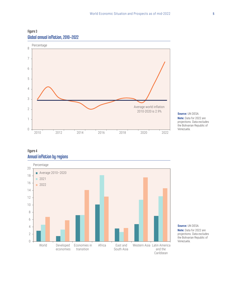



**Source:** UN DESA. **Note:** Data for 2022 are projections. Data excludes the Bolivarian Republic of Venezuela.

#### Figure 4 Annual inflation by regions



**Source:** UN DESA. **Note:** Data for 2022 are projections. Data excludes the Bolivarian Republic of Venezuela.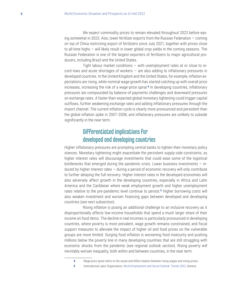We expect commodity prices to remain elevated throughout 2022 before easing somewhat in 2023. Also, lower fertilizer exports from the Russian Federation — coming on top of China restricting export of fertilizers since July 2021, together with prices close to all-time highs — will likely result in lower global crop yields in the coming seasons. The Russian Federation is one of the largest exporters of fertilizers to major agricultural producers, including Brazil and the United States.

Tight labour market conditions — with unemployment rates at or close to record lows and acute shortages of workers  $-$  are also adding to inflationary pressures in developed countries. In the United Kingdom and the United States, for example, inflation expectations are rising, while nominal wage growth has started catching up with overall price increases, increasing the risk of a wage-price spiral.**<sup>4</sup>** In developing countries, inflationary pressures are compounded by balance-of-payments challenges and downward pressures on exchange rates. A faster-than-expected global monetary tightening could trigger capital outflows, further weakening exchange rates and adding inflationary pressures through the import channel. The current inflation cycle is clearly more pronounced and persistent than the global inflation spike in 2007–2008, and inflationary pressures are unlikely to subside significantly in the near term.

## Differentiated implications for developed and developing countries

Higher inflationary pressures are prompting central banks to tighten their monetary policy stances. Monetary tightening might exacerbate the persistent supply-side constraints, as higher interest rates will discourage investments that could ease some of the logistical bottlenecks that emerged during the pandemic crisis. Lower business investments  $-$  induced by higher interest rates — during a period of economic recovery will only contribute to further delaying the full recovery. Higher interest rates in the developed economies will also adversely affect growth in the developing countries, especially in Africa and Latin America and the Caribbean where weak employment growth and higher unemployment rates relative to the pre-pandemic level continue to persist.**<sup>5</sup>** Higher borrowing costs will also weaken investment and worsen financing gaps between developed and developing countries (see next subsection).

Rising inflation is posing an additional challenge to an inclusive recovery as it disproportionally affects low-income households that spend a much larger share of their income on food items. The decline in real incomes is particularly pronounced in developing countries, where poverty is more prevalent, wage growth remains constrained, and fiscal support measures to alleviate the impact of higher oil and food prices on the vulnerable groups are more limited. Surging food inflation is worsening food insecurity and pushing millions below the poverty line in many developing countries that are still struggling with economic shocks from the pandemic (see regional outlook section). Rising poverty will inevitably worsen inequality, both within and between countries, in the near term.

**<sup>4</sup>** Wage-price spiral refers to the cause-and-effect relation between rising wages and rising prices.

**<sup>5</sup>** International Labor Organization, [World Employment and Social Outlook: Trends 2022](https://www.ilo.org/wcmsp5/groups/public/---dgreports/---dcomm/---publ/documents/publication/wcms_834081.pdf), Geneva.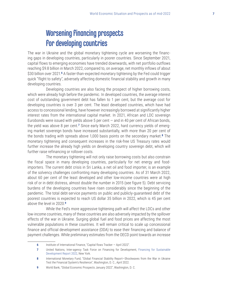## Worsening financing prospects for developing countries

The war in Ukraine and the global monetary tightening cycle are worsening the financing gaps in developing countries, particularly in poorer countries. Since September 2021, capital flows to emerging economies have trended downwards, with net portfolio outflows reaching \$9.8 billion in March 2022, compared to, on average, net monthly inflows of about \$30 billion over 2021.**<sup>6</sup>** A faster-than-expected monetary tightening by the Fed could trigger quick "flight to safety", adversely affecting domestic financial stability and growth in many developing countries.

Developing countries are also facing the prospect of higher borrowing costs, which were already high before the pandemic. In developed countries, the average interest cost of outstanding government debt has fallen to 1 per cent, but the average cost for developing countries is over 3 per cent. The least developed countries, which have had access to concessional lending, have however increasingly borrowed at significantly higher interest rates from the international capital market. In 2021, African and LDC sovereign Eurobonds were issued with yields above 5 per cent  $-$  and in 40 per cent of African bonds, the yield was above 8 per cent.**7** Since early March 2022, hard currency yields of emerging market sovereign bonds have increased substantially, with more than 20 per cent of the bonds trading with spreads above 1,000 basis points on the secondary market.**<sup>8</sup>** The monetary tightening and consequent increases in the risk-free US Treasury rates would further increase the already high yields on developing country sovereign debt, which will further raise refinancing or rollover costs.

The monetary tightening will not only raise borrowing costs but also constrain the fiscal space in many developing countries, particularly for net energy and foodimporters. The current debt crisis in Sri Lanka, a net oil and food importer, is an example of the solvency challenges confronting many developing countries. As of 31 March 2022, about 60 per cent of the least developed and other low-income countries were at high risk of or in debt distress, almost double the number in 2015 (see figure 5). Debt servicing burdens of the developing countries have risen considerably since the beginning of the pandemic. The total debt-service payments on public and publicly-guaranteed debt of the poorest countries is expected to reach US dollar 35 billion in 2022, which is 45 per cent above the level in 2020.**<sup>9</sup>**

While the Fed's more aggressive tightening path will affect the LDCs and other low-income countries, many of these countries are also adversely impacted by the spillover effects of the war in Ukraine. Surging global fuel and food prices are affecting the most vulnerable populations in these countries. It will remain critical to scale up concessional finance and official development assistance (ODA) to ease their financing and balance of payment challenges. While preliminary estimates from the OECD point towards an increase

**<sup>6</sup>** Institute of International Finance, "Capital flows Tracker — April 2022".

**<sup>7</sup>** United Nations, Inter-agency Task Force on Financing for Development, [Financing for Sustainable](https://developmentfinance.un.org/fsdr2022)  [Development Report 2022](https://developmentfinance.un.org/fsdr2022), New York.

**<sup>8</sup>** International Monetary Fund, "Global Financial Stability Report—Shockwaves from the War in Ukraine Test the Financial System's Resilience", Washington, D. C., April 2022.

**<sup>9</sup>** World Bank, "Global Economic Prospects January 2022", Washington, D. C.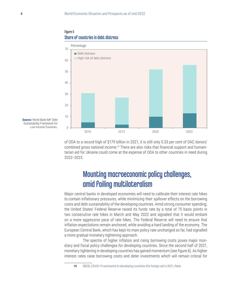



**Source:** World Bank-IMF Debt Sustainability Framework for Low Income Countries.

of ODA to a record-high of \$179 billion in 2021, it is still only 0.33 per cent of DAC donors' combined gross national income.<sup>10</sup> There are also risks that financial support and humanitarian aid for Ukraine could come at the expense of ODA to other countries in need during 2022‒2023.

## Mounting macroeconomic policy challenges, amid failing multilateralism

Major central banks in developed economies will need to calibrate their interest rate hikes to contain inflationary pressures, while minimizing their spillover effects on the borrowing costs and debt sustainability of the developing countries. Amid strong consumer spending, the United States' Federal Reserve raised its funds rate by a total of 75 basis points in two consecutive rate hikes in March and May 2022 and signalled that it would embark on a more aggressive pace of rate hikes. The Federal Reserve will need to ensure that inflation expectations remain anchored, while avoiding a hard landing of the economy. The European Central Bank, which has kept its main policy rate unchanged so far, had signalled a more gradual monetary tightening approach.

The spectre of higher inflation and rising borrowing costs poses major monetary and fiscal policy challenges for developing countries. Since the second half of 2021, monetary tightening in developing countries has gained momentum (see figure 6). As higher interest rates raise borrowing costs and deter investments which will remain critical for

**<sup>10</sup>** OECD, [COVID-19 assistance to developing countries lifts foreign aid in 2021](https://www.oecd.org/dac/covid-19-assistance-to-developing-countries-lifts-foreign-aid-in-2021-oecd.htm), Paris.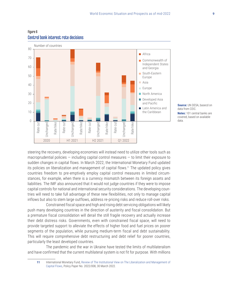

Figure 6 Central bank interest rate decisions

> **Source:** UN DESA, basecd on data from CEIC. **Notes:** 101 central banks are covered, based on available data.

steering the recovery, developing economies will instead need to utilize other tools such as macroprudential policies  $-$  including capital control measures  $-$  to limit their exposure to sudden changes in capital flows. In March 2022, the International Monetary Fund updated its policies on liberalization and management of capital flows.<sup>11</sup> The updated policy gives countries freedom to pre-emptively employ capital control measures in limited circumstances, for example, when there is a currency mismatch between its foreign assets and liabilities. The IMF also announced that it would not judge countries if they were to impose capital controls for national and international security considerations. The developing countries will need to take full advantage of these new flexibilities, not only to manage capital inflows but also to stem large outflows, address re-pricing risks and reduce roll-over risks.

Constrained fiscal space and high and rising debt servicing obligations will likely push many developing countries in the direction of austerity and fiscal consolidation. But a premature fiscal consolidation will derail the still fragile recovery and actually increase their debt distress risks. Governments, even with constrained fiscal space, will need to provide targeted support to alleviate the effects of higher food and fuel prices on poorer segments of the population, while pursuing medium-term fiscal and debt sustainability. This will require comprehensive debt restructuring and debt relief for poorer countries, particularly the least developed countries.

The pandemic and the war in Ukraine have tested the limits of multilateralism and have confirmed that the current multilateral system is not fit for purpose. With millions

**<sup>11</sup>** International Monetary Fund, [Review of The Institutional View on The Liberalization and Management of](https://www.imf.org/en/Publications/Policy-Papers/Issues/2022/03/29/Review-of-The-Institutional-View-on-The-Liberalization-and-Management-of-Capital-Flows-515883)  [Capital Flows](https://www.imf.org/en/Publications/Policy-Papers/Issues/2022/03/29/Review-of-The-Institutional-View-on-The-Liberalization-and-Management-of-Capital-Flows-515883), Policy Paper No. 2022/008, 30 March 2022.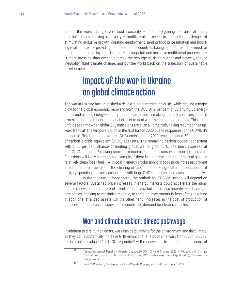around the world facing severe food insecurity  $-$  potentially joining the ranks of nearly a billion already in living in poverty  $-$  multilateralism needs to rise to the challenges of stimulating inclusive growth, creating employment, taming food price inflation and boosting resilience, while providing debt relief to the countries facing debt distress. The need for macroeconomic policy coordination – through fair and inclusive multilateral processes – is more pressing than ever to address the scourge of rising hunger and poverty, reduce inequality, fight climate change, and put the world back on the trajectory of sustainable development.

## Impact of the war in Ukraine on global climate action

The war in Ukraine has unleashed a devastating humanitarian crisis, while dealing a major blow to the global economic recovery from the COVID-19 pandemic. By driving up energy prices and placing energy security at the heart of policy making in many countries, it could also significantly impact the global efforts to deal with the climate emergency. This crisis unfolds at a time when global CO<sub>2</sub> emissions are at an all-time high, having resumed their upward trend after a temporary drop in the first half of 2020 due to responses to the COVID-19 pandemic. Total greenhouse gas (GHG) emissions in 2019 reached about 59 gigatonnes of carbon dioxide equivalent (GtCO<sub>2</sub>-eq) units. The remaining carbon budget, consistent with a 50 per cent chance of limiting global warming to  $1.5^{\circ}$ C, has been assessed at 500 GtCO<sub>2</sub>-eq units,<sup>12</sup> making short-term increases in emissions even more problematic. Emissions will likely increase, for example, if there is a net replacement of natural gas  $-$  a relatively clean fossil fuel — with coal in energy production; or if food price increases prompt a reduction in biofuel use or the clearing of land to increase agricultural production; or if military spending, normally associated with large GHG footprints, increases substantially.

In the medium to longer term, the outlook for GHG emissions will depend on several factors. Sustained price increases in energy markets could accelerate the adoption of renewables and more efficient alternatives, but could also incentivize oil and gas companies, seeking to maximize revenue, to ramp up investments in fossil fuels resulting in additional stranded assets. On the other hand, increases in the cost of production of batteries or supply chain issues could undermine demand for electric vehicles.

## War and climate action: direct pathways

In addition to dire human costs, wars can be punishing for the environment and the climate, as they can substantially increase GHG emissions. The post-9/11 wars from 2001 to 2018, for example, produced 1.2 GtCO<sub>2</sub>-eq units<sup>13</sup>  $-$  the equivalent to the annual emissions of

<sup>12</sup> Intergovernmental Panel on Climate Change (IPCC), "Climate Change 2022 - Mitigation of Climate Change", Working Group III Contribution to the IPCC Sixth Assessment Report (AR6), Summary for Policymakers.

**<sup>13</sup>** Neta C. Crawford, "Pentagon Fuel Use, Climate Change, and the Costs of War", 2019.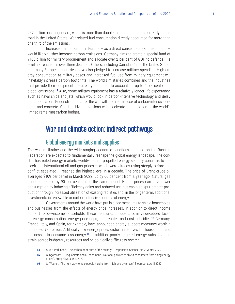257 million passenger cars, which is more than double the number of cars currently on the road in the United States. War-related fuel consumption directly accounted for more than one third of the emissions.

Increased militarization in Europe  $-$  as a direct consequence of the conflict  $$ would likely further increase carbon emissions. Germany aims to create a special fund of €100 billion for military procurement and allocate over 2 per cent of GDP to defence  $-$  a level not reached in over three decades. Others, including Canada, China, the United States and many European countries, have also pledged to increase military spending. High energy consumption at military bases and increased fuel use from military equipment will inevitably increase carbon footprints. The world's militaries combined and the industries that provide their equipment are already estimated to account for up to 6 per cent of all global emissions.**<sup>14</sup>** Also, some military equipment has a relatively longer life expectancy, such as naval ships and jets, which would lock in carbon-intensive technology and delay decarbonisation. Reconstruction after the war will also require use of carbon-intensive cement and concrete. Conflict-driven emissions will accelerate the depletion of the world's limited remaining carbon budget.

## War and climate action: indirect pathways

## Global energy markets and supplies

The war in Ukraine and the wide-ranging economic sanctions imposed on the Russian Federation are expected to fundamentally reshape the global energy landscape. The conflict has roiled energy markets worldwide and propelled energy security concerns to the forefront. International oil and gas prices — which were already rising steeply before the conflict escalated — reached the highest level in a decade. The price of Brent crude oil averaged \$109 per barrel in March 2022, up by 66 per cent from a year ago. Natural gas prices increased by 90 per cent during the same period. Higher prices can drive lower consumption by inducing efficiency gains and reduced use but can also spur greater production through increased utilization of existing facilities and, in the longer term, additional investments in renewable or carbon-intensive sources of energy.

Governments around the world have put in place measures to shield households and businesses from the effects of energy price increases. In addition to direct income support to low-income households, these measures include cuts in value-added taxes on energy consumption, energy price caps, fuel rebates and cost subsidies.**<sup>15</sup>** Germany, France, Italy, and Spain, for example, have announced energy support measures worth a combined €80 billion. Artificially low energy prices distort incentives for households and businesses to consume less energy.**<sup>16</sup>** In addition, poorly targeted energy subsidies can strain scarce budgetary resources and be politically difficult to reverse.

**<sup>14</sup>** Stuart Parkinson, "The carbon boot-print of the military", Responsible Science, No.2, winter 2020.

**<sup>15</sup>** G. Sgaravatti, S. Tagliapietra and G. Zachmann, "National policies to shield consumers from rising energy prices", Bruegel Datasets, 2022

**<sup>16</sup>** G. Wagner, "The right way to help people hurting from high energy prices", Bloomberg, April 2022.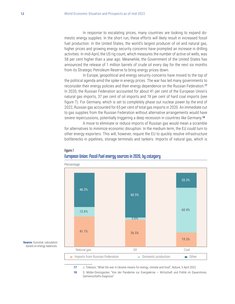In response to escalating prices, many countries are looking to expand domestic energy supplies. In the short run, these efforts will likely result in increased fossil fuel production. In the United States, the world's largest producer of oil and natural gas, higher prices and growing energy security concerns have prompted an increase in drilling activities. In mid-April, the US rig count, which measures the number of active oil wells, was 58 per cent higher than a year ago. Meanwhile, the Government of the United States has announced the release of 1 million barrels of crude oil every day for the next six months from its Strategic Petroleum Reserve to bring energy prices down.

In Europe, geopolitical and energy security concerns have moved to the top of the political agenda amid the spike in energy prices. The war has led many governments to reconsider their energy policies and their energy dependence on the Russian Federation.**<sup>17</sup>** In 2020, the Russian Federation accounted for about 41 per cent of the European Union's natural gas imports, 37 per cent of oil imports and 19 per cent of hard coal imports (see figure 7). For Germany, which is set to completely phase out nuclear power by the end of 2022, Russian gas accounted for 65 per cent of total gas imports in 2020. An immediate cut to gas supplies from the Russian Federation without alternative arrangements would have severe repercussions, potentially triggering a deep recession in countries like Germany.**<sup>18</sup>**

A move to eliminate or reduce imports of Russian gas would mean a scramble for alternatives to minimize economic disruption. In the medium term, the EU could turn to other energy exporters. This will, however, require the EU to quickly resolve infrastructure bottlenecks in pipelines, storage terminals and tankers. Imports of natural gas, which is



#### Figure 7 European Union: fossil fuel energy sources in 2020, by category

**17** J. Tolleson, "What the war in Ukraine means for energy, climate and food", Nature, 5 April 2022.

**18** S. Müller-Dreizigacker, "Von der Pandemie zur Energiekrise — Wirtschaft und Politik im Dauerstress. Gemeinschafts-Diagnose".

#### **Source:** Eurostat, calculation based on energy balances.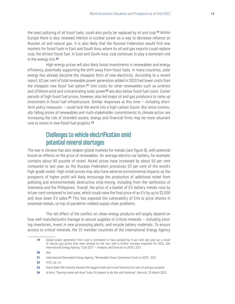the least polluting of all fossil fuels, could also partly be replaced by oil and coal.**<sup>19</sup>** Within Europe there is also renewed interest in nuclear power as a way to decrease reliance on Russian oil and natural gas. It is also likely that the Russian Federation would find new markets for fossil fuels in East and South Asia, where its oil and gas exports could replace coal, the dirtiest fossil fuel. In East and South Asia, coal continues to play a dominant role in the energy mix.**<sup>20</sup>**

High energy prices will also likely boost investments in renewables and energy efficiency, potentially supporting the shift away from fossil fuels. In many countries, solar energy has already become the cheapest form of new electricity. According to a recent report, 62 per cent of total renewable power generation added in 2020 had lower costs than the cheapest new fossil fuel option.**<sup>21</sup>** Unit costs for other renewables such as onshore and offshore wind and concentrating solar power**<sup>22</sup>** are also below fossil fuel costs. Earlier periods of high fossil fuel prices, however, also led major oil and gas producers to ramp up investment in fossil fuel infrastructure. Similar responses at this time — including shortterm policy measures — could lock the world into a high-carbon future. But since continually falling prices of renewables and multi-stakeholder commitments to climate action are increasing the risk of stranded assets, energy and financial firms may be more reluctant now to invest in new fossil fuel projects.**<sup>23</sup>**

## Challenges to vehicle electrification amid potential mineral shortages

The war in Ukraine has also shaken global markets for metals (see figure 8), with potential knock-on effects on the price of renewables. An average electric-car battery, for example, contains about 80 pounds of nickel. Nickel prices have increased by about 50 per cent compared to last year, as the Russian Federation processes 20 per cent of the world's high-grade nickel. High nickel prices may also have adverse environmental impacts as the prospects of higher profit will likely encourage the production of additional nickel from polluting and environmentally destructive strip-mining, including from the rainforests of Indonesia and the Philippines. Overall, the price of a basket of EV battery metals rose by 64 per cent compared to last year, which could raise the final price of an EV by up to \$2,000 and slow down EV sales.**<sup>24</sup>** This has exposed the vulnerability of EVs to price shocks in essential metals, on top of pandemic-related supply chain problems.

The net effect of the conflict on clean-energy products will largely depend on how well manufacturers manage to secure supplies of critical minerals — including existing inventories, invest in new processing plants, and recycle battery materials. To ensure access to critical minerals, the 31 member countries of the International Energy Agency

**22** IPCC, op. cit.

**<sup>19</sup>** Global power generation from coal is estimated to have jumped by 9 per cent last year as a result of natural gas prices that were already on the rise, with a further increase expected for 2022. See International Energy Agency, "Coal 2021 — Analysis and forecast to 2024", 2021.

**<sup>20</sup>** Ibid.

**<sup>21</sup>** International Renewable Energy Agency, "Renewable Power Generation Costs in 2020", 2021.

**<sup>23</sup>** Dutch Bank ING recently became the biggest bank yet to end financing for new oil and gas projects.

<sup>24</sup> Al Root, "Soaring nickel will drive Tesla, EV players to do this with batteries", Barron's, 20 March 2022.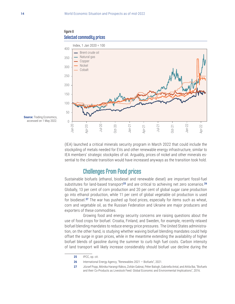Figure 8



**Source:** Trading Economics, accessed on 1 May 2022.

(IEA) launched a critical minerals security program in March 2022 that could include the stockpiling of metals needed for EVs and other renewable energy infrastructure, similar to IEA members' strategic stockpiles of oil. Arguably, prices of nickel and other minerals essential to the climate transition would have increased anyways as the transition took hold.

## Challenges from food prices

Sustainable biofuels (ethanol, biodiesel and renewable diesel) are important fossil-fuel substitutes for land-based transport**<sup>25</sup>** and are critical to achieving net zero scenarios.**<sup>26</sup>** Globally, 13 per cent of corn production and 20 per cent of global sugar cane production go into ethanol production, while 11 per cent of global vegetable oil production is used for biodiesel.**<sup>27</sup>** The war has pushed up food prices, especially for items such as wheat, corn and vegetable oil, as the Russian Federation and Ukraine are major producers and exporters of these commodities.

Growing food and energy security concerns are raising questions about the use of food crops for biofuel. Croatia, Finland, and Sweden, for example, recently relaxed biofuel blending mandates to reduce energy price pressures. The United States administration, on the other hand, is studying whether waiving biofuel blending mandates could help offset the surge in grain prices, while in the meantime extending the availability of higher biofuel blends of gasoline during the summer to curb high fuel costs. Carbon intensity of land transport will likely increase considerably should biofuel use decline during the

**<sup>25</sup>** IPCC, op. cit.

**<sup>26</sup>** International Energy Agency, "Renewables 2021 — Biofuels", 2021.

**<sup>27</sup>** József Popp, Mónika Harangi-Rákos, Zoltán Gabnai, Péter Balogh, Gabriella Antal, and Attila Bai, "Biofuels and their Co-Products as Livestock Feed: Global Economic and Environmental Implications", 2016.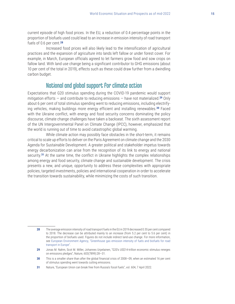current episode of high food prices. In the EU, a reduction of 0.4 percentage points in the proportion of biofuels used could lead to an increase in emission intensity of road transport fuels of 0.6 per cent.**<sup>28</sup>**

Increased food prices will also likely lead to the intensification of agricultural practices and the expansion of agriculture into lands left fallow or under forest cover. For example, in March, European officials agreed to let farmers grow food and sow crops on fallow land. With land use change being a significant contributor to GHG emissions (about 10 per cent of the total in 2019), effects such as these could draw further from a dwindling carbon budget.

## National and global support for climate action

Expectations that G20 stimulus spending during the COVID-19 pandemic would support mitigation efforts — and contribute to reducing emissions — have not materialized.**<sup>29</sup>** Only about 6 per cent of total stimulus spending went to reducing emissions, including electrifying vehicles, making buildings more energy efficient and installing renewables.**<sup>30</sup>** Faced with the Ukraine conflict, with energy and food security concerns dominating the policy discourse, climate change challenges have taken a backseat. The sixth assessment report of the UN Intergovernmental Panel on Climate Change (IPCC), however, emphasized that the world is running out of time to avoid catastrophic global warming.

While climate action may possibly face obstacles in the short-term, it remains critical to scale up efforts to deliver on the Paris Agreement on climate change and the 2030 Agenda for Sustainable Development. A greater political and stakeholder impetus towards energy decarbonization can arise from the recognition of its link to energy and national security.**<sup>31</sup>** At the same time, the conflict in Ukraine highlights the complex relationships among energy and food security, climate change and sustainable development. The crisis presents a new, and unique, opportunity to address these complexities with appropriate policies, targeted investments, policies and international cooperation in order to accelerate the transition towards sustainability, while minimizing the costs of such transition.

**<sup>28</sup>** The average emission intensity of road transport fuels in the EU in 2019 decreased 0.55 per cent compared to 2018. The decrease can be attributed mainly to an increase (from 5.2 per cent to 5.6 per cent) in the proportion of biofuels used. Figures do not include indirect land-use change. For more information, see [European Environment Agency, "Greenhouse gas emission intensity of fuels and biofuels for road](https://www.eea.europa.eu/ims/greenhouse-gas-emission-intensity-of)  [transport in Europe"](https://www.eea.europa.eu/ims/greenhouse-gas-emission-intensity-of).

**<sup>29</sup>** Jonas M. Nahm, Scot M. Miller, Johannes Urpelainen, "G20's US\$14-trillion economic stimulus reneges on emissions pledges", Nature, 603(7899):28—31.

**<sup>30</sup>** This is a smaller share than after the global financial crisis of 2008—09, when an estimated 16 per cent of stimulus spending went towards cutting emissions.

**<sup>31</sup>** Nature, "European Union can break free from Russia's fossil fuels", vol. 604, 7 April 2022.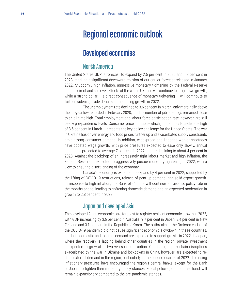## Regional economic outlook

## Developed economies

### North America

The United States GDP is forecast to expand by 2.6 per cent in 2022 and 1.8 per cent in 2023, marking a significant downward revision of our earlier forecast released in January 2022. Stubbornly high inflation, aggressive monetary tightening by the Federal Reserve and the direct and spillover effects of the war in Ukraine will continue to drag down growth, while a strong dollar  $-$  a direct consequence of monetary tightening  $-$  will contribute to further widening trade deficits and reducing growth in 2022.

The unemployment rate declined to 3.6 per cent in March, only marginally above the 50-year low recorded in February 2020, and the number of job openings remained close to an all-time high. Total employment and labour force participation rate, however, are still below pre-pandemic levels. Consumer price inflation - which jumped to a four-decade high of 8.5 per cent in March — presents the key policy challenge for the United States. The war in Ukraine has driven energy and food prices further up and exacerbated supply constraints amid strong consumer demand. In addition, widespread and lingering worker shortages have boosted wage growth. With price pressures expected to ease only slowly, annual inflation is projected to average 7 per cent in 2022, before declining to about 4 per cent in 2023. Against the backdrop of an increasingly tight labour market and high inflation, the Federal Reserve is expected to aggressively pursue monetary tightening in 2022, with a view to ensuring a soft landing of the economy.

Canada's economy is expected to expand by 4 per cent in 2022, supported by the lifting of COVID-19 restrictions, release of pent-up demand, and solid export growth. In response to high inflation, the Bank of Canada will continue to raise its policy rate in the months ahead, leading to softening domestic demand and an expected moderation in growth to 2.8 per cent in 2023.

## Japan and developed Asia

The developed Asian economies are forecast to register resilient economic growth in 2022, with GDP increasing by 3.6 per cent in Australia, 2.7 per cent in Japan, 3.4 per cent in New Zealand and 3.1 per cent in the Republic of Korea. The outbreaks of the Omicron variant of the COVID-19 pandemic did not cause significant economic slowdown in these countries, and both domestic and external demand are expected to support growth in 2022. In Japan, where the recovery is lagging behind other countries in the region, private investment is expected to grow after two years of contraction. Continuing supply chain disruptions exacerbated by the war in Ukraine and lockdowns in China, however, are expected to reduce external demand in the region, particularly in the second quarter of 2022. The rising inflationary pressures have encouraged the region's central banks, except for the Bank of Japan, to tighten their monetary policy stances. Fiscal policies, on the other hand, will remain expansionary compared to the pre-pandemic stances.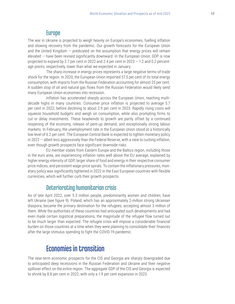### Europe

The war in Ukraine is projected to weigh heavily on Europe's economies, fuelling inflation and slowing recovery from the pandemic. Our growth forecasts for the European Union and the United Kingdom  $-$  predicated on the assumption that energy prices will remain elevated — have been revised significantly downward. In the European Union, GDP is now projected to expand by 2.7 per cent in 2022 and 2.4 per cent in 2023  $-$  1.2 and 0.2 percentage points, respectively, lower than what we expected in January.

The sharp increase in energy prices represents a large negative terms-of-trade shock for the region. In 2020, the European Union imported 57.5 per cent of its total energy consumption, with imports from the Russian Federation accounting for almost 25 per cent. A sudden stop of oil and natural gas flows from the Russian Federation would likely send many European Union economies into recession.

Inflation has accelerated sharply across the European Union, reaching multidecade highs in many countries. Consumer price inflation is projected to average 5.7 per cent in 2022, before declining to about 2.9 per cent in 2023. Rapidly rising costs will squeeze household budgets and weigh on consumption, while also prompting firms to cut or delay investments. These headwinds to growth are partly offset by a continued reopening of the economy, release of pent-up demand, and exceptionally strong labour markets. In February, the unemployment rate in the European Union stood at a historically low level of 6.2 per cent. The European Central Bank is expected to tighten monetary policy in 2022 — albeit less aggressively than the Federal Reserve, with a view to curbing inflation, even though growth prospects face significant downside risks.

EU member states from Eastern Europe and the Baltics region, including those in the euro area, are experiencing inflation rates well above the EU average, explained by higher energy intensity of GDP, larger share of food and energy in their respective consumer price indices, and persistent wage-price spirals. To contain the inflationary pressures, monetary policy was significantly tightened in 2022 in the East European countries with flexible currencies, which will further curb their growth prospects.

### Deteriorating humanitarian crisis

As of late April 2022, over 5.3 million people, predominantly women and children, have left Ukraine (see figure 9). Poland, which has an approximately 2-million strong Ukrainian diaspora, became the primary destination for the refugees, accepting almost 3 million of them. While the authorities of these countries had anticipated such developments and had even made certain logistical preparations, the magnitude of the refugee flow turned out to be much larger than expected. The refugee crisis will impose a considerable financial burden on those countries at a time when they were planning to consolidate their finances after the large stimulus spending to fight the COVID-19 pandemic.

## Economies in transition

The near-term economic prospects for the CIS and Georgia are sharply downgraded due to anticipated deep recessions in the Russian Federation and Ukraine and their negative spillover effect on the entire region. The aggregate GDP of the CIS and Georgia is expected to shrink by 8.8 per cent in 2022, with only a 1.9 per cent expansion in 2023.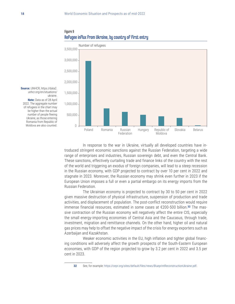



**Source:** UNHCR, [https://data2.](https://data2.unhcr.org/en/situations/ukraine) [unhcr.org/en/situations/](https://data2.unhcr.org/en/situations/ukraine) [ukraine](https://data2.unhcr.org/en/situations/ukraine). **Note:** Data as of 28 April 2022. The aggregate number of refugees in the chart may be higher than the actual number of people fleeing Ukraine, as those entering Romania from Republic of Moldova are also counted.

> In response to the war in Ukraine, virtually all developed countries have introduced stringent economic sanctions against the Russian Federation, targeting a wide range of enterprises and industries, Russian sovereign debt, and even the Central Bank. These sanctions, effectively curtailing trade and finance links of the country with the rest of the world and triggering an exodus of foreign companies, will lead to a steep recession in the Russian economy, with GDP projected to contract by over 10 per cent in 2022 and stagnate in 2023. Moreover, the Russian economy may shrink even further in 2023 if the European Union imposes a full or even a partial embargo on its energy imports from the Russian Federation.

> The Ukrainian economy is projected to contract by 30 to 50 per cent in 2022 given massive destruction of physical infrastructure, suspension of production and trade activities, and displacement of population. The post-conflict reconstruction would require immense financial resources, estimated in some cases at €200-500 billion.**32** The massive contraction of the Russian economy will negatively affect the entire CIS, especially the small energy-importing economies of Central Asia and the Caucasus, through trade, investment, migration and remittance channels. On the other hand, higher oil and natural gas prices may help to offset the negative impact of the crisis for energy exporters such as Azerbaijan and Kazakhstan.

> Weaker economic activities in the EU, high inflation and tighter global financing conditions will adversely affect the growth prospects of the South-Eastern European economies, with GDP of the region projected to grow by 3.2 per cent in 2022 and 3.5 per cent in 2023.

**<sup>32</sup>** See, for example: <https://cepr.org/sites/default/files/news/BlueprintReconstructionUkraine.pdf>.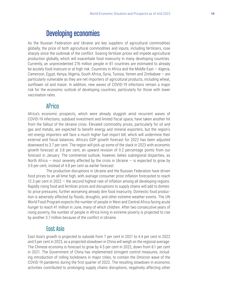## Developing economies

As the Russian Federation and Ukraine are key suppliers of agricultural commodities globally, the price of both agricultural commodities and inputs, including fertilizers, rose sharply since the outbreak of the conflict. Soaring fertilizer prices will impede agricultural production globally, which will exacerbate food insecurity in many developing countries. Currently, an unprecedented 276 million people in 81 countries are estimated to already be acutely food insecure or at high risk. Countries in Africa and the Middle East — Algeria, Cameroon, Egypt, Kenya, Nigeria, South Africa, Syria, Tunisia, Yemen and Zimbabwe — are particularly vulnerable as they are net importers of agricultural products, including wheat, sunflower oil and maize. In addition, new waves of COVID-19 infections remain a major risk for the economic outlook of developing countries, particularly for those with lower vaccination rates.

### **Africa**

Africa's economic prospects, which were already sluggish amid recurrent waves of COVID-19 infections, subdued investment and limited fiscal space, have taken another hit from the fallout of the Ukraine crisis. Elevated commodity prices, particularly for oil and gas and metals, are expected to benefit energy and mineral exporters, but the region's net energy importers will face a much higher fuel import bill, which will undermine their external and fiscal balances. Africa's GDP growth forecast for 2022 has been adjusted downward to 3.7 per cent. The region will pick up some of the slack in 2023 with economic growth forecast at 3.8 per cent, an upward revision of 0.2 percentage points from our forecast in January. The continental outlook, however, belies subregional disparities, as North Africa – most severely affected by the crisis in Ukraine – is expected to grow by 3.9 per cent, instead of 4.8 per cent as earlier forecast.

The production disruptions in Ukraine and the Russian Federation have driven food prices to an all-time high, with average consumer price inflation forecasted to reach 12.3 per cent in 2022 — the second highest rate of inflation among all developing regions. Rapidly rising food and fertilizer prices and disruptions to supply chains will add to domestic price pressures, further worsening already dire food insecurity. Domestic food production is adversely affected by floods, droughts, and other extreme weather events. The UN World Food Program expects the number of people in West and Central Africa facing acute hunger to reach 41 million in June, many of which children. After two consecutive years of rising poverty, the number of people in Africa living in extreme poverty is projected to rise by another 3.7 million because of the conflict in Ukraine.

### East Asia

East Asia's growth is projected to subside from 7 per cent in 2021 to 4.4 per cent in 2022 and 5 per cent in 2023, as a projected slowdown in China will weigh on the regional average. The Chinese economy is forecast to grow by 4.5 per cent in 2022, down from 8.1 per cent in 2021. The Government of China has implemented stringent control measures, including introduction of rolling lockdowns in major cities, to contain the Omicron wave of the COVID-19 pandemic during the first quarter of 2022. The resulting slowdown in economic activities contributed to prolonging supply chains disruptions, negatively affecting other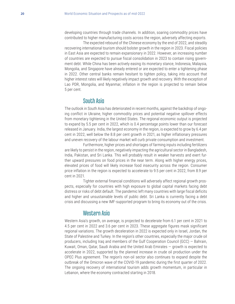developing countries through trade channels. In addition, soaring commodity prices have contributed to higher manufacturing costs across the region, adversely affecting exports.

The expected rebound of the Chinese economy by the end of 2022, and steadily recovering international tourism should bolster growth in the region in 2023. Fiscal policies in East Asia are expected to remain expansionary in 2022. However, an increasing number of countries are expected to pursue fiscal consolidation in 2023 to contain rising government debt. While China has been actively easing its monetary stance, Indonesia, Malaysia, Mongolia, and Singapore have already entered or are expected to enter a tightening phase in 2022. Other central banks remain hesitant to tighten policy, taking into account that higher interest rates will likely negatively impact growth and recovery. With the exception of Lao PDR, Mongolia, and Myanmar, inflation in the region is projected to remain below 5 per cent.

### South Asia

The outlook in South Asia has deteriorated in recent months, against the backdrop of ongoing conflict in Ukraine, higher commodity prices and potential negative spillover effects from monetary tightening in the United States. The regional economic output is projected to expand by 5.5 per cent in 2022, which is 0.4 percentage points lower than our forecast released in January. India, the largest economy in the region, is expected to grow by 6.4 per cent in 2022, well below the 8.8 per cent growth in 2021, as higher inflationary pressures and uneven recovery of the labour market will curb private consumption and investment.

Furthermore, higher prices and shortages of farming inputs including fertilizers are likely to persist in the region, negatively impacting the agricultural sector in Bangladesh, India, Pakistan, and Sri Lanka. This will probably result in weaker harvests and exert further upward pressures on food prices in the near term. Along with higher energy prices, elevated prices of food will likely increase food insecurity across the region. Consumer price inflation in the region is expected to accelerate to 9.5 per cent in 2022, from 8.9 per cent in 2021.

Tighter external financial conditions will adversely affect regional growth prospects, especially for countries with high exposure to global capital markets facing debt distress or risks of debt default. The pandemic left many countries with large fiscal deficits and higher and unsustainable levels of public debt. Sri Lanka is currently facing a debt crisis and discussing a new IMF-supported program to bring its economy out of the crisis.

### Western Asia

Western Asia's growth, on average, is projected to decelerate from 6.1 per cent in 2021 to 4.5 per cent in 2022 and 3.6 per cent in 2023. These aggregate figures mask significant regional variations. The growth deceleration in 2022 is expected only in Israel, Jordan, the State of Palestine and Turkey. In the region's other countries, especially the major crude oil producers, including Iraq and members of the Gulf Cooperation Council (GCC) — Bahrain, Kuwait, Oman, Qatar, Saudi Arabia and the United Arab Emirates — growth is expected to accelerate in 2022, supported by the planned increase in crude oil production under the OPEC Plus agreement. The region's non-oil sector also continues to expand despite the outbreak of the Omicron wave of the COVID-19 pandemic during the first quarter of 2022. The ongoing recovery of international tourism adds growth momentum, in particular in Lebanon, where the economy contracted starting in 2018.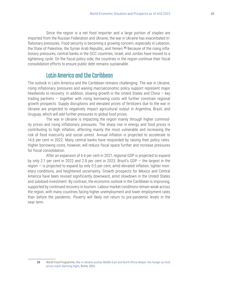Since the region is a net food importer and a large portion of staples are imported from the Russian Federation and Ukraine, the war in Ukraine has exacerbated inflationary pressures. Food security is becoming a growing concern, especially in Lebanon, the State of Palestine, the Syrian Arab Republic, and Yemen.**33** Because of the rising inflationary pressures, central banks in the GCC countries, Israel, and Jordan have moved to a tightening cycle. On the fiscal policy side, the countries in the region continue their fiscal consolidation efforts to ensure public debt remains sustainable.

### Latin America and the Caribbean

The outlook in Latin America and the Caribbean remains challenging. The war in Ukraine, rising inflationary pressures and waning macroeconomic policy support represent major headwinds to recovery. In addition, slowing growth in the United States and China  $-$  key trading partners — together with rising borrowing costs will further constrain regional growth prospects. Supply disruptions and elevated prices of fertilizers due to the war in Ukraine are projected to negatively impact agricultural output in Argentina, Brazil, and Uruguay, which will add further pressures to global food prices.

The war in Ukraine is impacting the region mainly through higher commodity prices and rising inflationary pressures. The sharp rise in energy and food prices is contributing to high inflation, affecting mainly the most vulnerable and increasing the risk of food insecurity and social unrest. Annual inflation is projected to accelerate to 14.6 per cent in 2022. Many central banks have responded by raising their policy rates. Higher borrowing costs, however, will reduce fiscal space further and increase pressures for fiscal consolidation.

After an expansion of 6.6 per cent in 2021, regional GDP is projected to expand by only 2.1 per cent in 2022 and 2.8 per cent in 2023. Brazil's GDP — the largest in the region — is projected to expand by only 0.5 per cent, amid elevated inflation, tighter monetary conditions, and heightened uncertainty. Growth prospects for Mexico and Central America have been revised significantly downward, amid slowdown in the United States and subdued investment. By contrast, the economic outlook in the Caribbean is improving, supported by continued recovery in tourism. Labour market conditions remain weak across the region, with many countries facing higher unemployment and lower employment rates than before the pandemic. Poverty will likely not return to pre-pandemic levels in the near term.

**33** World Food Programme, [War in Ukraine pushes Middle East and North Africa deeper into hunger as food](https://www.wfp.org/news/war-ukraine-pushes-middle-east-and-north-africa-deeper-hunger-food-prices-reach-alarming-highs)  [prices reach alarming highs](https://www.wfp.org/news/war-ukraine-pushes-middle-east-and-north-africa-deeper-hunger-food-prices-reach-alarming-highs), Rome, 2022.